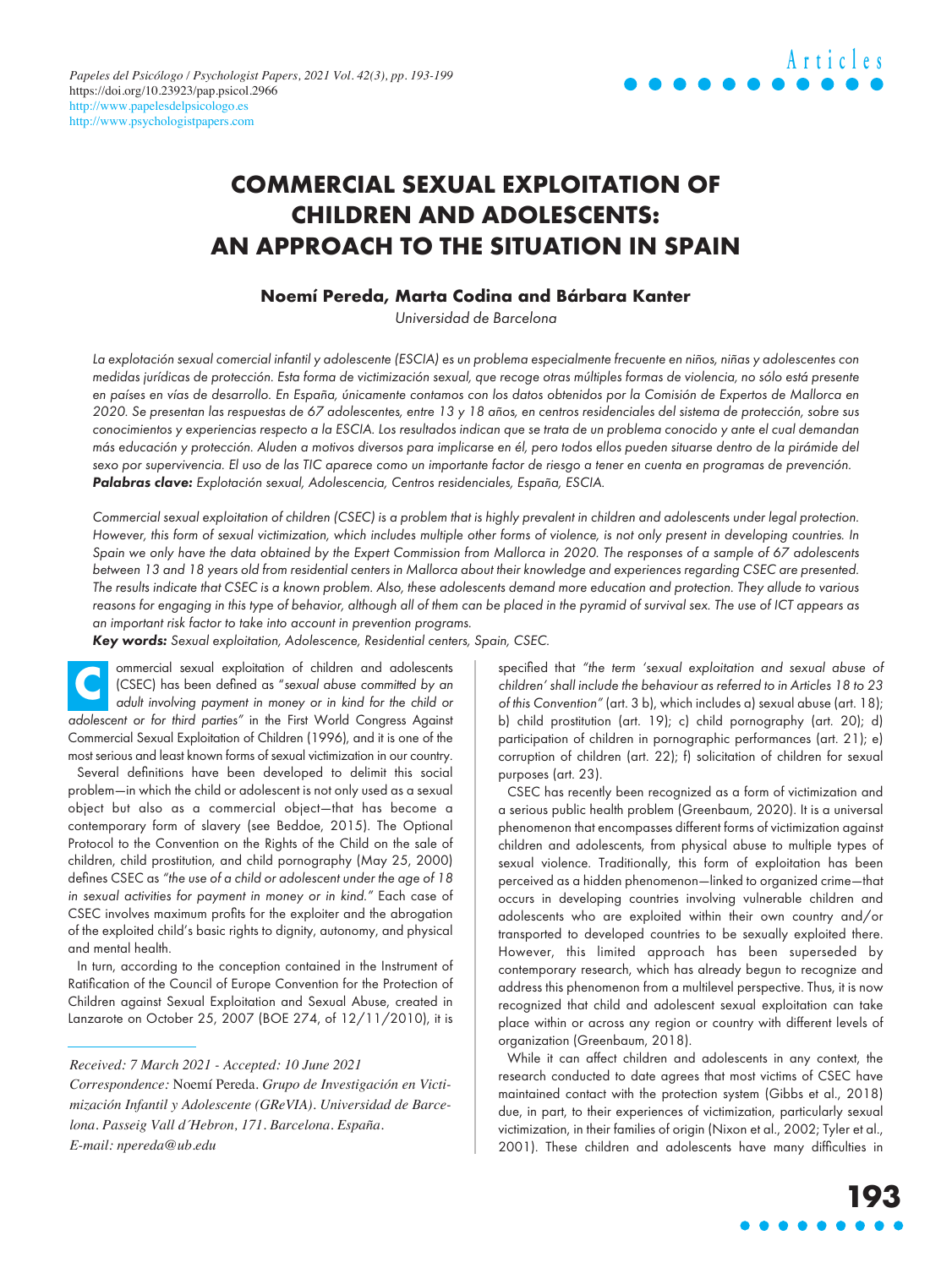## **COMMERCIAL SEXUAL EXPLOITATION OF CHILDREN AND ADOLESCENTS: AN APPROACH TO THE SITUATION IN SPAIN**

### **Noemí Pereda, Marta Codina and Bárbara Kanter**

Universidad de Barcelona

La explotación sexual comercial infantil y adolescente (ESCIA) es un problema especialmente frecuente en niños, niñas y adolescentes con medidas jurídicas de protección. Esta forma de victimización sexual, que recoge otras múltiples formas de violencia, no sólo está presente en países en vías de desarrollo. En España, únicamente contamos con los datos obtenidos por la Comisión de Expertos de Mallorca en 2020. Se presentan las respuestas de 67 adolescentes, entre 13 y 18 años, en centros residenciales del sistema de protección, sobre sus conocimientos y experiencias respecto a la ESCIA. Los resultados indican que se trata de un problema conocido y ante el cual demandan más educación y protección. Aluden a motivos diversos para implicarse en él, pero todos ellos pueden situarse dentro de la pirámide del sexo por supervivencia. El uso de las TIC aparece como un importante factor de riesgo a tener en cuenta en programas de prevención. Palabras clave: Explotación sexual, Adolescencia, Centros residenciales, España, ESCIA.

Commercial sexual exploitation of children (CSEC) is a problem that is highly prevalent in children and adolescents under legal protection. However, this form of sexual victimization, which includes multiple other forms of violence, is not only present in developing countries. In Spain we only have the data obtained by the Expert Commission from Mallorca in 2020. The responses of a sample of 67 adolescents between 13 and 18 years old from residential centers in Mallorca about their knowledge and experiences regarding CSEC are presented. The results indicate that CSEC is a known problem. Also, these adolescents demand more education and protection. They allude to various reasons for engaging in this type of behavior, although all of them can be placed in the pyramid of survival sex. The use of ICT appears as an important risk factor to take into account in prevention programs.

Key words: Sexual exploitation, Adolescence, Residential centers, Spain, CSEC.

ommercial sexual exploitation of children and adolescents (CSEC) has been defined as "sexual abuse committed by an adult involving payment in money or in kind for the child or adolescent or for third parties" in the First World Congress Against Commercial Sexual Exploitation of Children (1996), and it is one of the most serious and least known forms of sexual victimization in our country. **C**

Several definitions have been developed to delimit this social problem—in which the child or adolescent is not only used as a sexual object but also as a commercial object—that has become a contemporary form of slavery (see Beddoe, 2015). The Optional Protocol to the Convention on the Rights of the Child on the sale of children, child prostitution, and child pornography (May 25, 2000) defines CSEC as "the use of a child or adolescent under the age of 18 in sexual activities for payment in money or in kind." Each case of CSEC involves maximum profits for the exploiter and the abrogation of the exploited child's basic rights to dignity, autonomy, and physical and mental health.

In turn, according to the conception contained in the Instrument of Ratification of the Council of Europe Convention for the Protection of Children against Sexual Exploitation and Sexual Abuse, created in Lanzarote on October 25, 2007 (BOE 274, of 12/11/2010), it is

*Received: 7 March 2021 - Accepted: 10 June 2021* 

specified that "the term 'sexual exploitation and sexual abuse of children' shall include the behaviour as referred to in Articles 18 to 23 of this Convention" (art. 3 b), which includes a) sexual abuse (art. 18); b) child prostitution (art. 19); c) child pornography (art. 20); d) participation of children in pornographic performances (art. 21); e) corruption of children (art. 22); f) solicitation of children for sexual purposes (art. 23).

CSEC has recently been recognized as a form of victimization and a serious public health problem (Greenbaum, 2020). It is a universal phenomenon that encompasses different forms of victimization against children and adolescents, from physical abuse to multiple types of sexual violence. Traditionally, this form of exploitation has been perceived as a hidden phenomenon—linked to organized crime—that occurs in developing countries involving vulnerable children and adolescents who are exploited within their own country and/or transported to developed countries to be sexually exploited there. However, this limited approach has been superseded by contemporary research, which has already begun to recognize and address this phenomenon from a multilevel perspective. Thus, it is now recognized that child and adolescent sexual exploitation can take place within or across any region or country with different levels of organization (Greenbaum, 2018).

While it can affect children and adolescents in any context, the research conducted to date agrees that most victims of CSEC have maintained contact with the protection system (Gibbs et al., 2018) due, in part, to their experiences of victimization, particularly sexual victimization, in their families of origin (Nixon et al., 2002; Tyler et al., 2001). These children and adolescents have many difficulties in

*Correspondence:* Noemí Pereda. *Grupo de Investigación en Victimización Infantil y Adolescente (GReVIA). Universidad de Barcelona. Passeig Vall d´Hebron, 171. Barcelona. España. E-mail: [npereda@ub.edu](mailto:npereda@ub.edu)*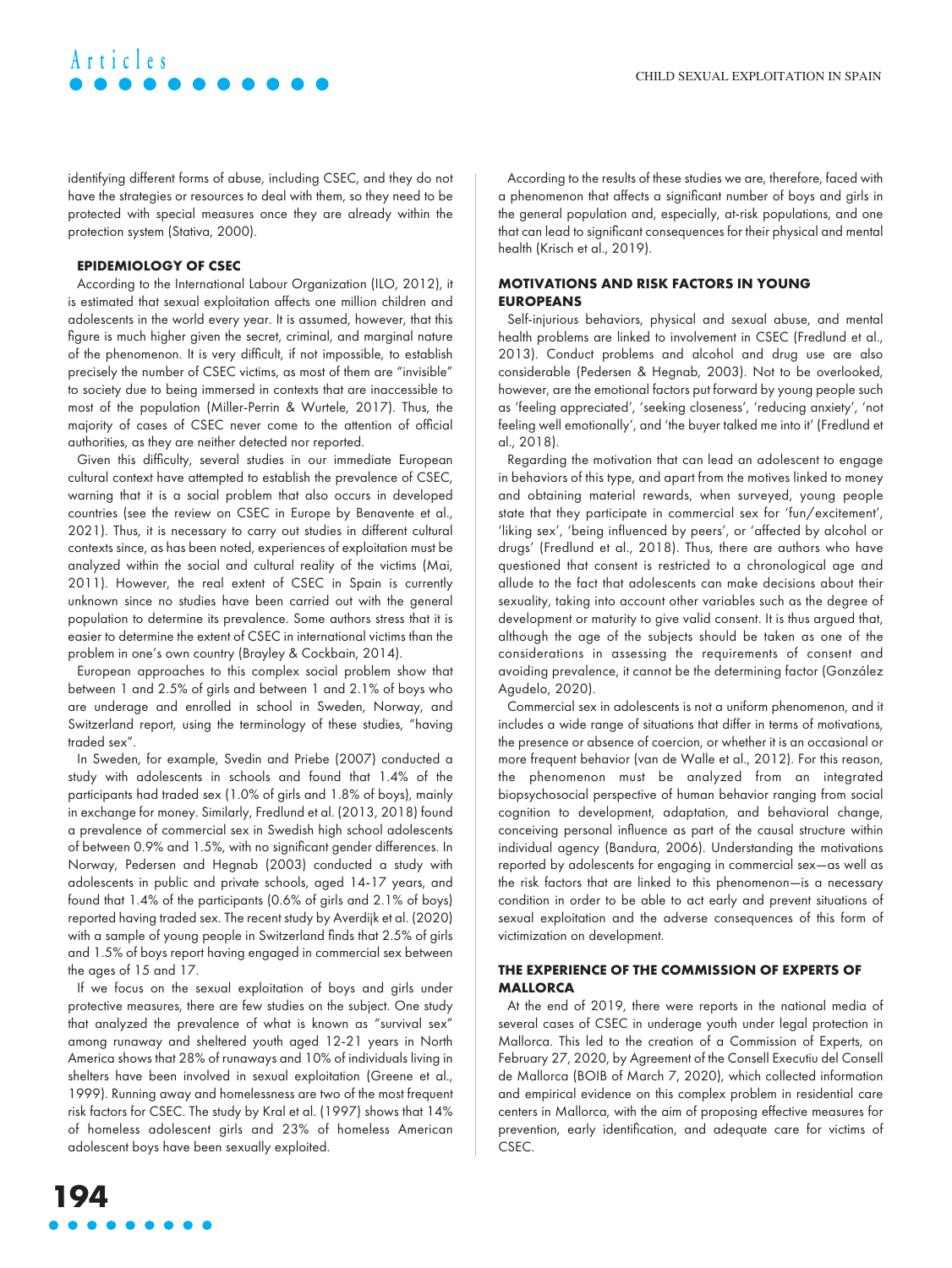identifying different forms of abuse, including CSEC, and they do not have the strategies or resources to deal with them, so they need to be protected with special measures once they are already within the protection system (Stativa, 2000).

### **EPIDEMIOLOGY OF CSEC**

**Articles**

According to the International Labour Organization (ILO, 2012), it is estimated that sexual exploitation affects one million children and adolescents in the world every year. It is assumed, however, that this figure is much higher given the secret, criminal, and marginal nature of the phenomenon. It is very difficult, if not impossible, to establish precisely the number of CSEC victims, as most of them are "invisible" to society due to being immersed in contexts that are inaccessible to most of the population (Miller-Perrin & Wurtele, 2017). Thus, the majority of cases of CSEC never come to the attention of official authorities, as they are neither detected nor reported.

Given this difficulty, several studies in our immediate European cultural context have attempted to establish the prevalence of CSEC, warning that it is a social problem that also occurs in developed countries (see the review on CSEC in Europe by Benavente et al., 2021). Thus, it is necessary to carry out studies in different cultural contexts since, as has been noted, experiences of exploitation must be analyzed within the social and cultural reality of the victims (Mai, 2011). However, the real extent of CSEC in Spain is currently unknown since no studies have been carried out with the general population to determine its prevalence. Some authors stress that it is easier to determine the extent of CSEC in international victims than the problem in one's own country (Brayley & Cockbain, 2014).

European approaches to this complex social problem show that between 1 and 2.5% of girls and between 1 and 2.1% of boys who are underage and enrolled in school in Sweden, Norway, and Switzerland report, using the terminology of these studies, "having traded sex".

In Sweden, for example, Svedin and Priebe (2007) conducted a study with adolescents in schools and found that 1.4% of the participants had traded sex (1.0% of girls and 1.8% of boys), mainly in exchange for money. Similarly, Fredlund et al. (2013, 2018) found a prevalence of commercial sex in Swedish high school adolescents of between 0.9% and 1.5%, with no significant gender differences. In Norway, Pedersen and Hegnab (2003) conducted a study with adolescents in public and private schools, aged 14-17 years, and found that 1.4% of the participants (0.6% of girls and 2.1% of boys) reported having traded sex. The recent study by Averdijk et al. (2020) with a sample of young people in Switzerland finds that 2.5% of girls and 1.5% of boys report having engaged in commercial sex between the ages of 15 and 17.

If we focus on the sexual exploitation of boys and girls under protective measures, there are few studies on the subject. One study that analyzed the prevalence of what is known as "survival sex" among runaway and sheltered youth aged 12-21 years in North America shows that 28% of runaways and 10% of individuals living in shelters have been involved in sexual exploitation (Greene et al., 1999). Running away and homelessness are two of the most frequent risk factors for CSEC. The study by Kral et al. (1997) shows that 14% of homeless adolescent girls and 23% of homeless American adolescent boys have been sexually exploited.

According to the results of these studies we are, therefore, faced with a phenomenon that affects a significant number of boys and girls in the general population and, especially, at-risk populations, and one that can lead to significant consequences for their physical and mental health (Krisch et al., 2019).

### **MOTIVATIONS AND RISK FACTORS IN YOUNG EUROPEANS**

Self-injurious behaviors, physical and sexual abuse, and mental health problems are linked to involvement in CSEC (Fredlund et al., 2013). Conduct problems and alcohol and drug use are also considerable (Pedersen & Hegnab, 2003). Not to be overlooked, however, are the emotional factors put forward by young people such as 'feeling appreciated', 'seeking closeness', 'reducing anxiety', 'not feeling well emotionally', and 'the buyer talked me into it' (Fredlund et al., 2018).

Regarding the motivation that can lead an adolescent to engage in behaviors of this type, and apart from the motives linked to money and obtaining material rewards, when surveyed, young people state that they participate in commercial sex for 'fun/excitement', 'liking sex', 'being influenced by peers', or 'affected by alcohol or drugs' (Fredlund et al., 2018). Thus, there are authors who have questioned that consent is restricted to a chronological age and allude to the fact that adolescents can make decisions about their sexuality, taking into account other variables such as the degree of development or maturity to give valid consent. It is thus argued that, although the age of the subjects should be taken as one of the considerations in assessing the requirements of consent and avoiding prevalence, it cannot be the determining factor (González Agudelo, 2020).

Commercial sex in adolescents is not a uniform phenomenon, and it includes a wide range of situations that differ in terms of motivations, the presence or absence of coercion, or whether it is an occasional or more frequent behavior (van de Walle et al., 2012). For this reason, the phenomenon must be analyzed from an integrated biopsychosocial perspective of human behavior ranging from social cognition to development, adaptation, and behavioral change, conceiving personal influence as part of the causal structure within individual agency (Bandura, 2006). Understanding the motivations reported by adolescents for engaging in commercial sex—as well as the risk factors that are linked to this phenomenon—is a necessary condition in order to be able to act early and prevent situations of sexual exploitation and the adverse consequences of this form of victimization on development.

### **THE EXPERIENCE OF THE COMMISSION OF EXPERTS OF MALLORCA**

At the end of 2019, there were reports in the national media of several cases of CSEC in underage youth under legal protection in Mallorca. This led to the creation of a Commission of Experts, on February 27, 2020, by Agreement of the Consell Executiu del Consell de Mallorca (BOIB of March 7, 2020), which collected information and empirical evidence on this complex problem in residential care centers in Mallorca, with the aim of proposing effective measures for prevention, early identification, and adequate care for victims of CSEC.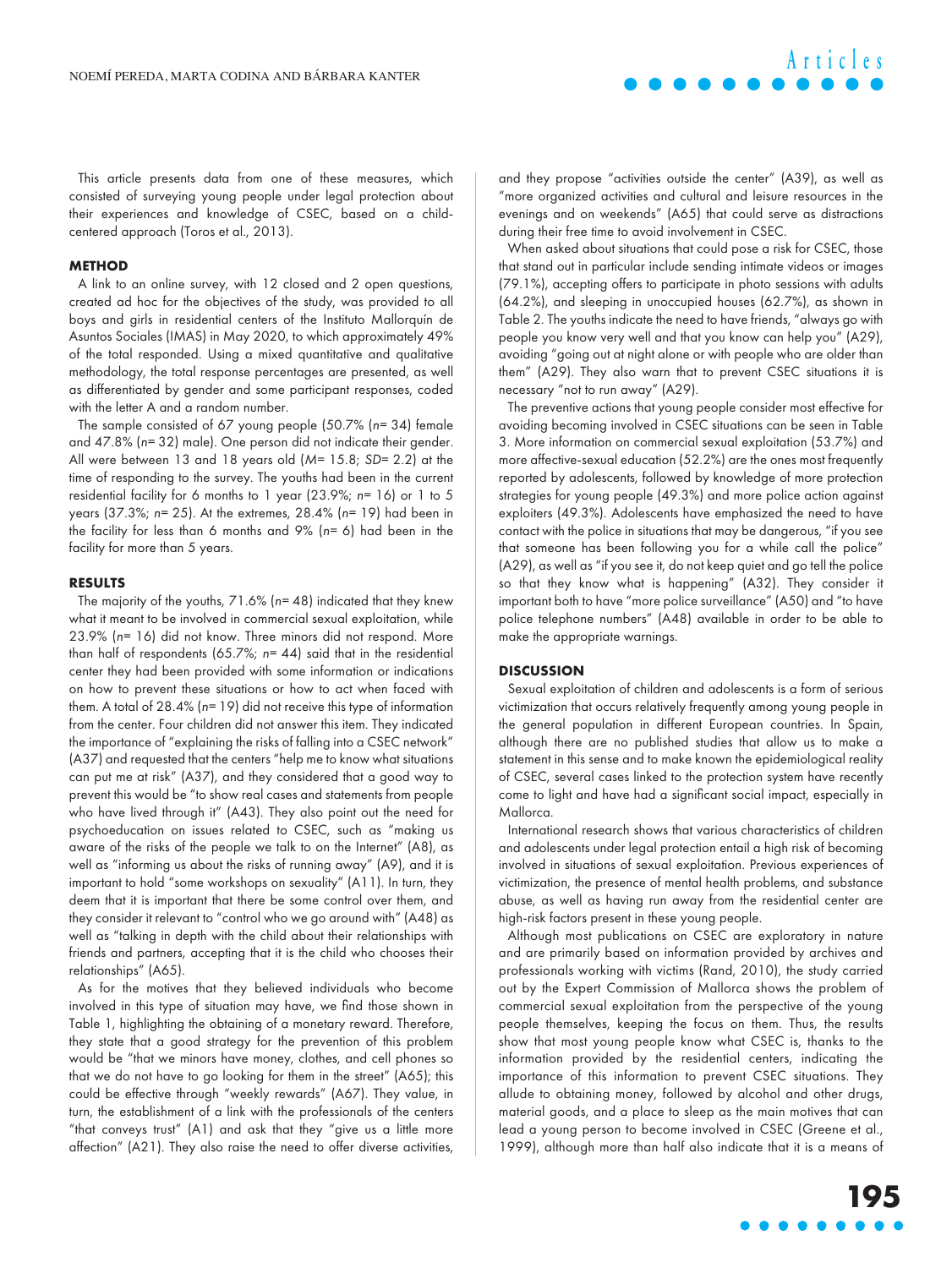This article presents data from one of these measures, which consisted of surveying young people under legal protection about their experiences and knowledge of CSEC, based on a childcentered approach (Toros et al., 2013).

#### **METHOD**

A link to an online survey, with 12 closed and 2 open questions, created ad hoc for the objectives of the study, was provided to all boys and girls in residential centers of the Instituto Mallorquín de Asuntos Sociales (IMAS) in May 2020, to which approximately 49% of the total responded. Using a mixed quantitative and qualitative methodology, the total response percentages are presented, as well as differentiated by gender and some participant responses, coded with the letter A and a random number.

The sample consisted of 67 young people (50.7% (n= 34) female and 47.8% (n= 32) male). One person did not indicate their gender. All were between 13 and 18 years old (M= 15.8; SD= 2.2) at the time of responding to the survey. The youths had been in the current residential facility for 6 months to 1 year (23.9%; n= 16) or 1 to 5 years (37.3%; n= 25). At the extremes, 28.4% (n= 19) had been in the facility for less than 6 months and 9% (n= 6) had been in the facility for more than 5 years.

### **RESULTS**

The majority of the youths,  $71.6\%$  (n= 48) indicated that they knew what it meant to be involved in commercial sexual exploitation, while 23.9% (n= 16) did not know. Three minors did not respond. More than half of respondents (65.7%; n= 44) said that in the residential center they had been provided with some information or indications on how to prevent these situations or how to act when faced with them. A total of 28.4% (n= 19) did not receive this type of information from the center. Four children did not answer this item. They indicated the importance of "explaining the risks of falling into a CSEC network" (A37) and requested that the centers "help me to know what situations can put me at risk" (A37), and they considered that a good way to prevent this would be "to show real cases and statements from people who have lived through it" (A43). They also point out the need for psychoeducation on issues related to CSEC, such as "making us aware of the risks of the people we talk to on the Internet" (A8), as well as "informing us about the risks of running away" (A9), and it is important to hold "some workshops on sexuality" (A11). In turn, they deem that it is important that there be some control over them, and they consider it relevant to "control who we go around with" (A48) as well as "talking in depth with the child about their relationships with friends and partners, accepting that it is the child who chooses their relationships" (A65).

As for the motives that they believed individuals who become involved in this type of situation may have, we find those shown in Table 1, highlighting the obtaining of a monetary reward. Therefore, they state that a good strategy for the prevention of this problem would be "that we minors have money, clothes, and cell phones so that we do not have to go looking for them in the street" (A65); this could be effective through "weekly rewards" (A67). They value, in turn, the establishment of a link with the professionals of the centers "that conveys trust" (A1) and ask that they "give us a little more affection" (A21). They also raise the need to offer diverse activities,

and they propose "activities outside the center" (A39), as well as "more organized activities and cultural and leisure resources in the evenings and on weekends" (A65) that could serve as distractions during their free time to avoid involvement in CSEC.

When asked about situations that could pose a risk for CSEC, those that stand out in particular include sending intimate videos or images (79.1%), accepting offers to participate in photo sessions with adults (64.2%), and sleeping in unoccupied houses (62.7%), as shown in Table 2. The youths indicate the need to have friends, "always go with people you know very well and that you know can help you" (A29), avoiding "going out at night alone or with people who are older than them" (A29). They also warn that to prevent CSEC situations it is necessary "not to run away" (A29).

The preventive actions that young people consider most effective for avoiding becoming involved in CSEC situations can be seen in Table 3. More information on commercial sexual exploitation (53.7%) and more affective-sexual education (52.2%) are the ones most frequently reported by adolescents, followed by knowledge of more protection strategies for young people (49.3%) and more police action against exploiters (49.3%). Adolescents have emphasized the need to have contact with the police in situations that may be dangerous, "if you see that someone has been following you for a while call the police" (A29), as well as "if you see it, do not keep quiet and go tell the police so that they know what is happening" (A32). They consider it important both to have "more police surveillance" (A50) and "to have police telephone numbers" (A48) available in order to be able to make the appropriate warnings.

### **DISCUSSION**

Sexual exploitation of children and adolescents is a form of serious victimization that occurs relatively frequently among young people in the general population in different European countries. In Spain, although there are no published studies that allow us to make a statement in this sense and to make known the epidemiological reality of CSEC, several cases linked to the protection system have recently come to light and have had a significant social impact, especially in Mallorca.

International research shows that various characteristics of children and adolescents under legal protection entail a high risk of becoming involved in situations of sexual exploitation. Previous experiences of victimization, the presence of mental health problems, and substance abuse, as well as having run away from the residential center are high-risk factors present in these young people.

Although most publications on CSEC are exploratory in nature and are primarily based on information provided by archives and professionals working with victims (Rand, 2010), the study carried out by the Expert Commission of Mallorca shows the problem of commercial sexual exploitation from the perspective of the young people themselves, keeping the focus on them. Thus, the results show that most young people know what CSEC is, thanks to the information provided by the residential centers, indicating the importance of this information to prevent CSEC situations. They allude to obtaining money, followed by alcohol and other drugs, material goods, and a place to sleep as the main motives that can lead a young person to become involved in CSEC (Greene et al., 1999), although more than half also indicate that it is a means of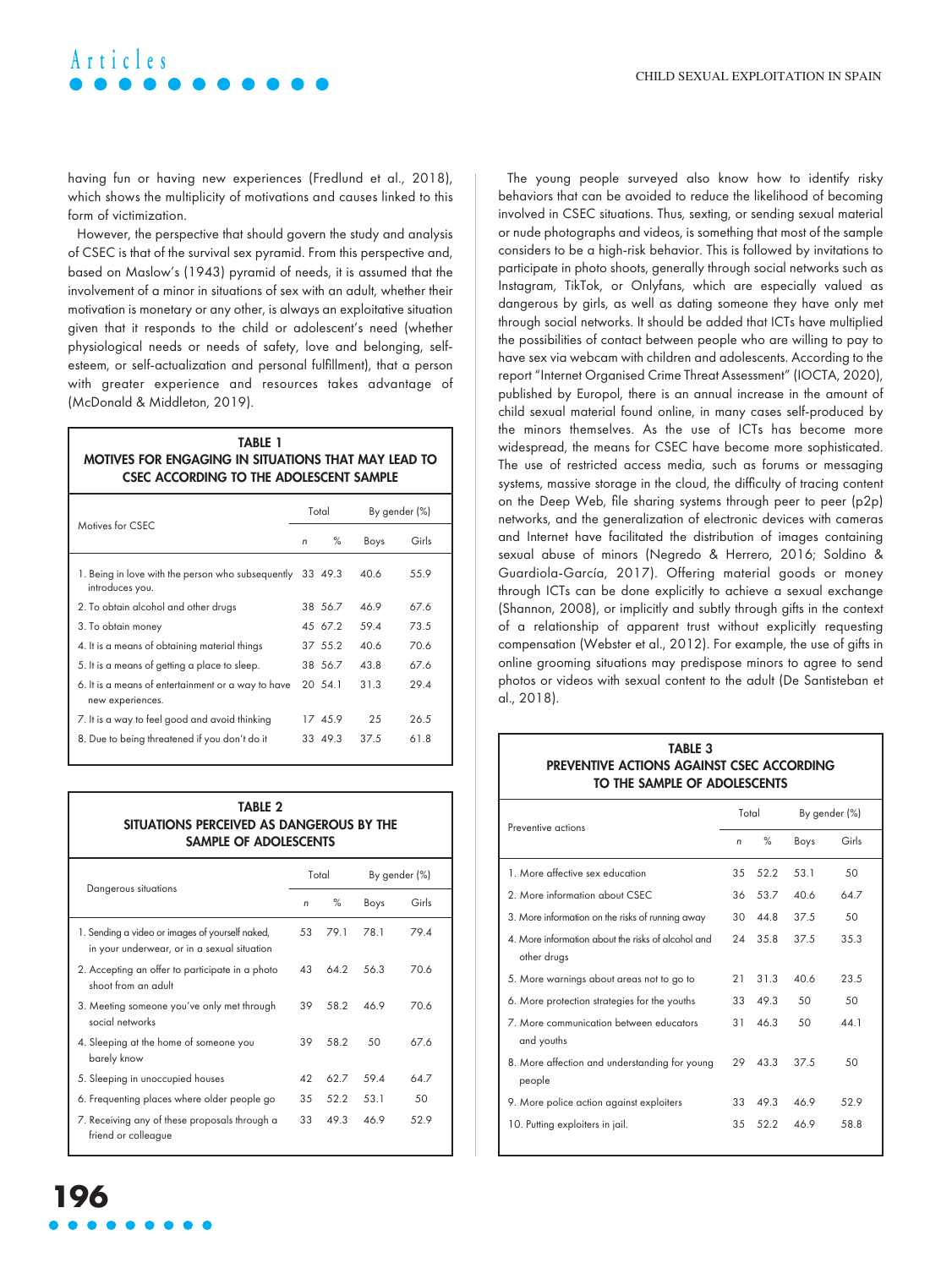# **Articles**

having fun or having new experiences (Fredlund et al., 2018), which shows the multiplicity of motivations and causes linked to this form of victimization.

However, the perspective that should govern the study and analysis of CSEC is that of the survival sex pyramid. From this perspective and, based on Maslow's (1943) pyramid of needs, it is assumed that the involvement of a minor in situations of sex with an adult, whether their motivation is monetary or any other, is always an exploitative situation given that it responds to the child or adolescent's need (whether physiological needs or needs of safety, love and belonging, selfesteem, or self-actualization and personal fulfillment), that a person with greater experience and resources takes advantage of (McDonald & Middleton, 2019).

### **TABLE 1 MOTIVES FOR ENGAGING IN SITUATIONS THAT MAY LEAD TO CSEC ACCORDING TO THE ADOLESCENT SAMPLE**

|                                                                              |   | Total   | By gender (%) |       |
|------------------------------------------------------------------------------|---|---------|---------------|-------|
| Motives for CSEC                                                             | n | $\%$    | Boys          | Girls |
| 1. Being in love with the person who subsequently 33 49.3<br>introduces you. |   |         | 40.6          | 55.9  |
| 2. To obtain alcohol and other drugs                                         |   | 38 56.7 | 46.9          | 67.6  |
| 3. To obtain money                                                           |   | 45 67.2 | 59.4          | 73.5  |
| 4. It is a means of obtaining material things                                |   | 37 55.2 | 40.6          | 70.6  |
| 5. It is a means of getting a place to sleep.                                |   | 38 56.7 | 43.8          | 67.6  |
| 6. It is a means of entertainment or a way to have<br>new experiences.       |   | 20 54.1 | 31.3          | 29.4  |
| 7. It is a way to feel good and avoid thinking                               |   | 17 45.9 | 25            | 26.5  |
| 8. Due to being threatened if you don't do it                                |   | 33 49.3 | 37.5          | 61.8  |

### **TABLE 2 SITUATIONS PERCEIVED AS DANGEROUS BY THE SAMPLE OF ADOLESCENTS**

|                                                                                                |    | Total |      | By gender (%) |
|------------------------------------------------------------------------------------------------|----|-------|------|---------------|
| Dangerous situations                                                                           | n  | $\%$  | Boys | Girls         |
| 1. Sending a video or images of yourself naked,<br>in your underwear, or in a sexual situation | 53 | 79.1  | 78.1 | 79.4          |
| 2. Accepting an offer to participate in a photo<br>shoot from an adult                         | 43 | 64.2  | 563  | <b>706</b>    |
| 3. Meeting someone you've only met through<br>social networks                                  | 39 | 58.2  | 469  | <b>706</b>    |
| 4. Sleeping at the home of someone you<br>barely know                                          | 39 | 58.2  | 50   | 67.6          |
| 5. Sleeping in unoccupied houses                                                               | 42 | 62.7  | 59.4 | 64.7          |
| 6. Frequenting places where older people go                                                    | 35 | 52.2  | 53 1 | 50            |
| 7. Receiving any of these proposals through a<br>friend or colleague                           | 33 | 49.3  | 46.9 | 529           |

The young people surveyed also know how to identify risky behaviors that can be avoided to reduce the likelihood of becoming involved in CSEC situations. Thus, sexting, or sending sexual material or nude photographs and videos, is something that most of the sample considers to be a high-risk behavior. This is followed by invitations to participate in photo shoots, generally through social networks such as Instagram, TikTok, or Onlyfans, which are especially valued as dangerous by girls, as well as dating someone they have only met through social networks. It should be added that ICTs have multiplied the possibilities of contact between people who are willing to pay to have sex via webcam with children and adolescents. According to the report "Internet Organised Crime Threat Assessment" (IOCTA, 2020), published by Europol, there is an annual increase in the amount of child sexual material found online, in many cases self-produced by the minors themselves. As the use of ICTs has become more widespread, the means for CSEC have become more sophisticated. The use of restricted access media, such as forums or messaging systems, massive storage in the cloud, the difficulty of tracing content on the Deep Web, file sharing systems through peer to peer (p2p) networks, and the generalization of electronic devices with cameras and Internet have facilitated the distribution of images containing sexual abuse of minors (Negredo & Herrero, 2016; Soldino & Guardiola-García, 2017). Offering material goods or money through ICTs can be done explicitly to achieve a sexual exchange (Shannon, 2008), or implicitly and subtly through gifts in the context of a relationship of apparent trust without explicitly requesting compensation (Webster et al., 2012). For example, the use of gifts in online grooming situations may predispose minors to agree to send photos or videos with sexual content to the adult (De Santisteban et al., 2018).

### **PREVENTIVE ACTIONS AGAINST CSEC ACCORDING TO THE SAMPLE OF ADOLESCENTS**

| Preventive actions                                                |                 | Total | By gender (%) |       |
|-------------------------------------------------------------------|-----------------|-------|---------------|-------|
|                                                                   | n               | $\%$  | Boys          | Girls |
| 1. More affective sex education                                   | 35              | 52.2  | 53.1          | 50    |
| 2. More information about CSEC                                    | 36              | 53.7  | 40.6          | 64.7  |
| 3. More information on the risks of running away                  | 30              | 44.8  | 37.5          | 50    |
| 4. More information about the risks of alcohol and<br>other drugs | 24              | 35.8  | 37.5          | 35.3  |
| 5. More warnings about areas not to go to                         | 21              | 31.3  | 406           | 23.5  |
| 6. More protection strategies for the youths                      | 33              | 49.3  | 50            | 50    |
| 7. More communication between educators<br>and youths             | $\overline{31}$ | 46.3  | 50            | 44 1  |
| 8. More affection and understanding for young<br>people           | 29              | 43.3  | 37.5          | 50    |
| 9. More police action against exploiters                          | 33              | 49.3  | 46.9          | 52.9  |
| 10. Putting exploiters in jail.                                   | 35              | 52.2  | 46.9          | 58.8  |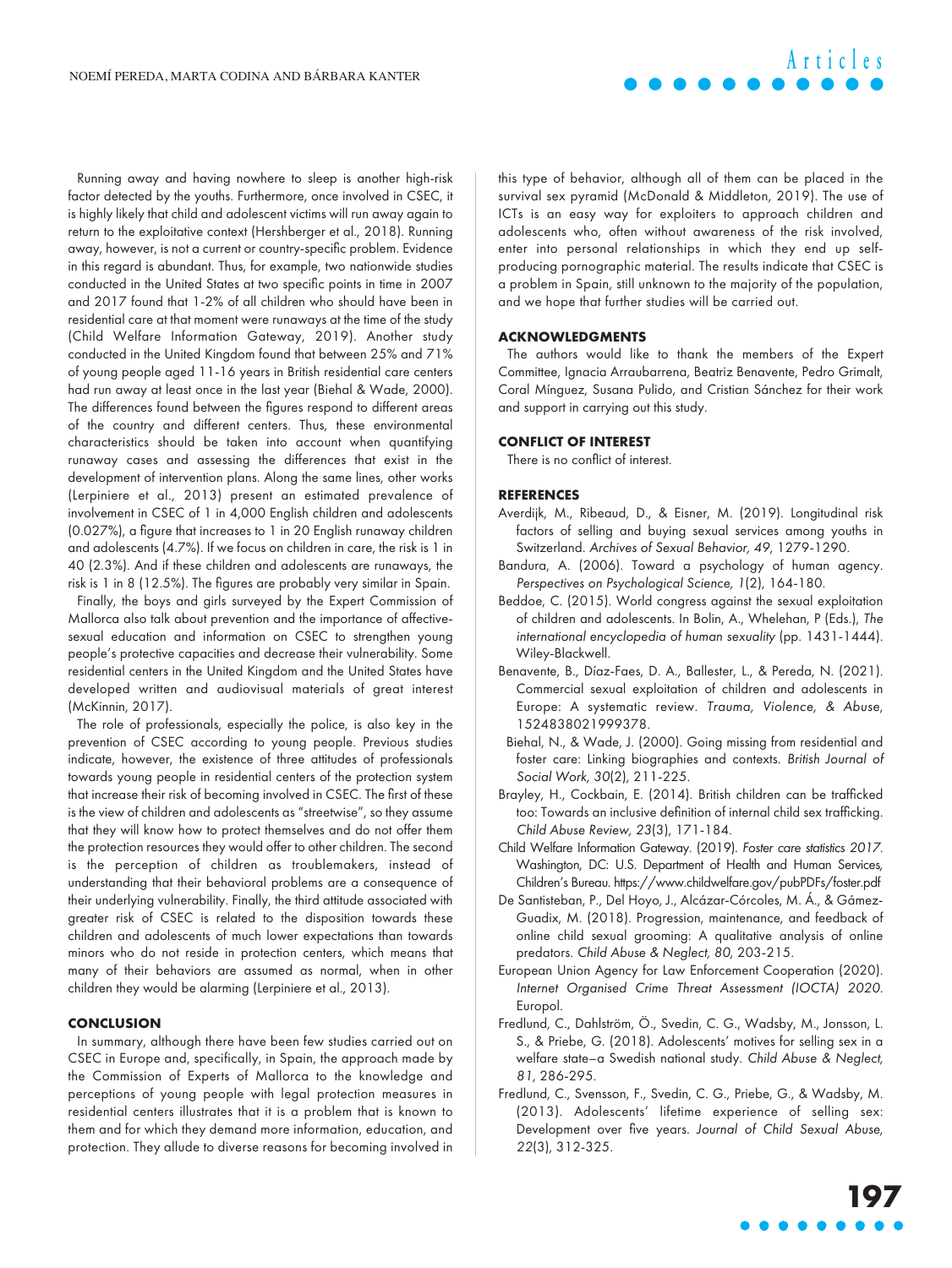Running away and having nowhere to sleep is another high-risk factor detected by the youths. Furthermore, once involved in CSEC, it is highly likely that child and adolescent victims will run away again to return to the exploitative context (Hershberger et al., 2018). Running away, however, is not a current or country-specific problem. Evidence in this regard is abundant. Thus, for example, two nationwide studies conducted in the United States at two specific points in time in 2007 and 2017 found that 1-2% of all children who should have been in residential care at that moment were runaways at the time of the study (Child Welfare Information Gateway, 2019). Another study conducted in the United Kingdom found that between 25% and 71% of young people aged 11-16 years in British residential care centers had run away at least once in the last year (Biehal & Wade, 2000). The differences found between the figures respond to different areas of the country and different centers. Thus, these environmental characteristics should be taken into account when quantifying runaway cases and assessing the differences that exist in the development of intervention plans. Along the same lines, other works (Lerpiniere et al., 2013) present an estimated prevalence of involvement in CSEC of 1 in 4,000 English children and adolescents (0.027%), a figure that increases to 1 in 20 English runaway children and adolescents (4.7%). If we focus on children in care, the risk is 1 in 40 (2.3%). And if these children and adolescents are runaways, the risk is 1 in 8 (12.5%). The figures are probably very similar in Spain.

Finally, the boys and girls surveyed by the Expert Commission of Mallorca also talk about prevention and the importance of affectivesexual education and information on CSEC to strengthen young people's protective capacities and decrease their vulnerability. Some residential centers in the United Kingdom and the United States have developed written and audiovisual materials of great interest (McKinnin, 2017).

The role of professionals, especially the police, is also key in the prevention of CSEC according to young people. Previous studies indicate, however, the existence of three attitudes of professionals towards young people in residential centers of the protection system that increase their risk of becoming involved in CSEC. The first of these is the view of children and adolescents as "streetwise", so they assume that they will know how to protect themselves and do not offer them the protection resources they would offer to other children. The second is the perception of children as troublemakers, instead of understanding that their behavioral problems are a consequence of their underlying vulnerability. Finally, the third attitude associated with greater risk of CSEC is related to the disposition towards these children and adolescents of much lower expectations than towards minors who do not reside in protection centers, which means that many of their behaviors are assumed as normal, when in other children they would be alarming (Lerpiniere et al., 2013).

### **CONCLUSION**

In summary, although there have been few studies carried out on CSEC in Europe and, specifically, in Spain, the approach made by the Commission of Experts of Mallorca to the knowledge and perceptions of young people with legal protection measures in residential centers illustrates that it is a problem that is known to them and for which they demand more information, education, and protection. They allude to diverse reasons for becoming involved in

this type of behavior, although all of them can be placed in the survival sex pyramid (McDonald & Middleton, 2019). The use of ICTs is an easy way for exploiters to approach children and adolescents who, often without awareness of the risk involved, enter into personal relationships in which they end up selfproducing pornographic material. The results indicate that CSEC is a problem in Spain, still unknown to the majority of the population, and we hope that further studies will be carried out.

**Articles**

### **ACKNOWLEDGMENTS**

The authors would like to thank the members of the Expert Committee, Ignacia Arraubarrena, Beatriz Benavente, Pedro Grimalt, Coral Mínguez, Susana Pulido, and Cristian Sánchez for their work and support in carrying out this study.

### **CONFLICT OF INTEREST**

There is no conflict of interest.

### **REFERENCES**

- Averdijk, M., Ribeaud, D., & Eisner, M. (2019). Longitudinal risk factors of selling and buying sexual services among youths in Switzerland. Archives of Sexual Behavior, 49, 1279-1290.
- Bandura, A. (2006). Toward a psychology of human agency. Perspectives on Psychological Science, 1(2), 164-180.
- Beddoe, C. (2015). World congress against the sexual exploitation of children and adolescents. In Bolin, A., Whelehan, P (Eds.), The international encyclopedia of human sexuality (pp. 1431-1444). Wiley-Blackwell.
- Benavente, B., Díaz-Faes, D. A., Ballester, L., & Pereda, N. (2021). Commercial sexual exploitation of children and adolescents in Europe: A systematic review. Trauma, Violence, & Abuse, 1524838021999378.
- Biehal, N., & Wade, J. (2000). Going missing from residential and foster care: Linking biographies and contexts. British Journal of Social Work, 30(2), 211-225.
- Brayley, H., Cockbain, E. (2014). British children can be trafficked too: Towards an inclusive definition of internal child sex trafficking. Child Abuse Review, 23(3), 171-184.
- Child Welfare Information Gateway. (2019). Foster care statistics 2017. Washington, DC: U.S. Department of Health and Human Services, Children's Bureau.<https://www.childwelfare.gov/pubPDFs/foster.pdf>
- De Santisteban, P., Del Hoyo, J., Alcázar-Córcoles, M. Á., & Gámez-Guadix, M. (2018). Progression, maintenance, and feedback of online child sexual grooming: A qualitative analysis of online predators. Child Abuse & Neglect, 80, 203-215.
- European Union Agency for Law Enforcement Cooperation (2020). Internet Organised Crime Threat Assessment (IOCTA) 2020. Europol.
- Fredlund, C., Dahlström, Ö., Svedin, C. G., Wadsby, M., Jonsson, L. S., & Priebe, G. (2018). Adolescents' motives for selling sex in a welfare state–a Swedish national study. Child Abuse & Neglect, 81, 286-295.
- Fredlund, C., Svensson, F., Svedin, C. G., Priebe, G., & Wadsby, M. (2013). Adolescents' lifetime experience of selling sex: Development over five years. Journal of Child Sexual Abuse, 22(3), 312-325.